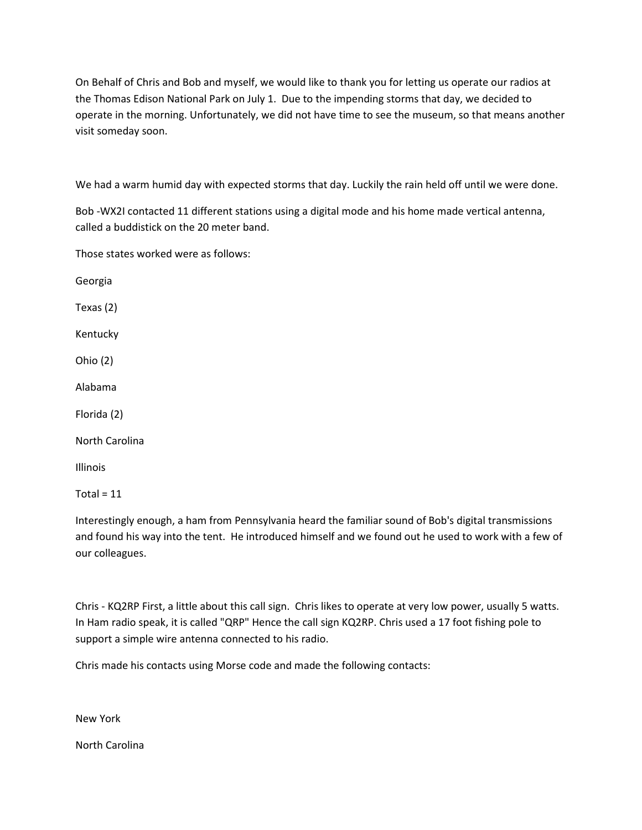On Behalf of Chris and Bob and myself, we would like to thank you for letting us operate our radios at the Thomas Edison National Park on July 1. Due to the impending storms that day, we decided to operate in the morning. Unfortunately, we did not have time to see the museum, so that means another visit someday soon.

We had a warm humid day with expected storms that day. Luckily the rain held off until we were done.

Bob -WX2I contacted 11 different stations using a digital mode and his home made vertical antenna, called a buddistick on the 20 meter band.

Those states worked were as follows:

Georgia Texas (2) Kentucky Ohio (2) Alabama Florida (2) North Carolina Illinois Total =  $11$ 

Interestingly enough, a ham from Pennsylvania heard the familiar sound of Bob's digital transmissions and found his way into the tent. He introduced himself and we found out he used to work with a few of our colleagues.

Chris - KQ2RP First, a little about this call sign. Chris likes to operate at very low power, usually 5 watts. In Ham radio speak, it is called "QRP" Hence the call sign KQ2RP. Chris used a 17 foot fishing pole to support a simple wire antenna connected to his radio.

Chris made his contacts using Morse code and made the following contacts:

New York

North Carolina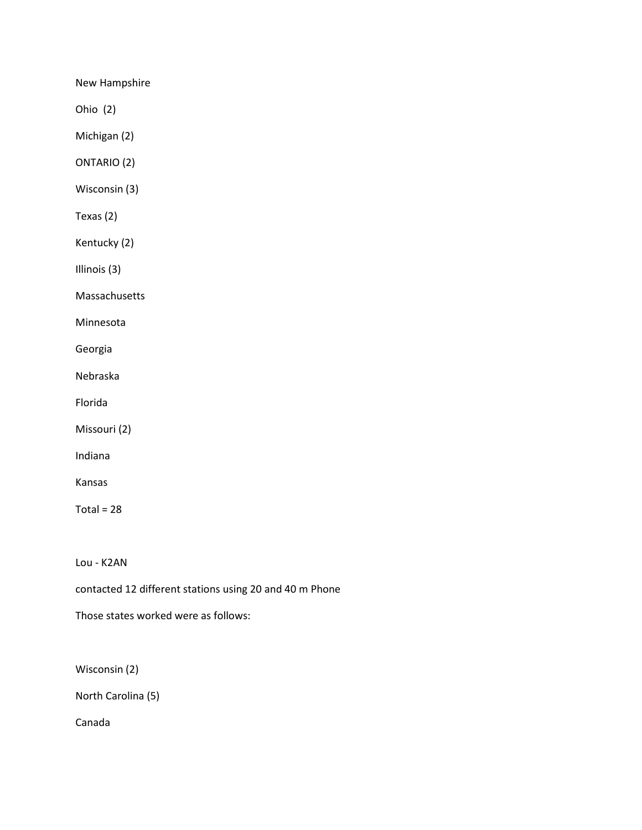New Hampshire

Ohio (2)

Michigan (2)

ONTARIO (2)

Wisconsin (3)

Texas (2)

Kentucky (2)

Illinois (3)

Massachusetts

Minnesota

Georgia

Nebraska

Florida

Missouri (2)

Indiana

Kansas

Total =  $28$ 

Lou - K2AN

contacted 12 different stations using 20 and 40 m Phone

Those states worked were as follows:

Wisconsin (2)

North Carolina (5)

Canada